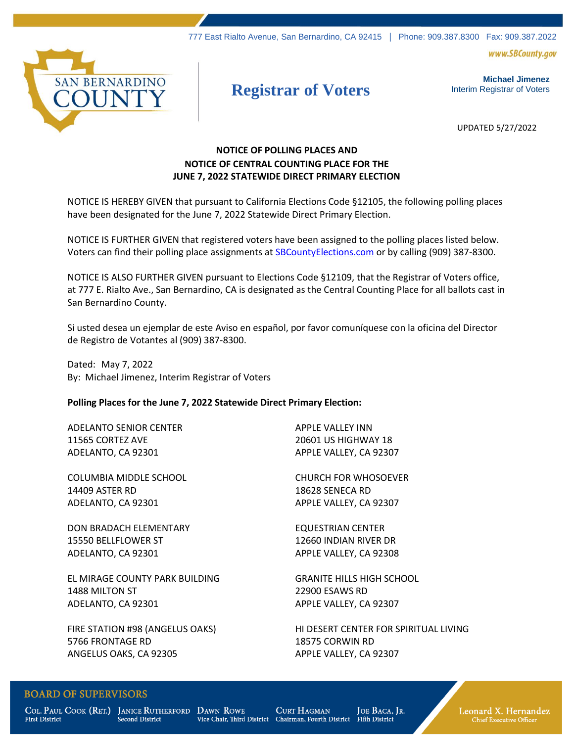777 East Rialto Avenue, San Bernardino, CA 92415 | Phone: 909.387.8300 Fax: 909.387.2022

www.SBCounty.gov



# **Registrar of Voters**

**Michael Jimenez**  Interim Registrar of Voters

UPDATED 5/27/2022

## **NOTICE OF POLLING PLACES AND NOTICE OF CENTRAL COUNTING PLACE FOR THE JUNE 7, 2022 STATEWIDE DIRECT PRIMARY ELECTION**

NOTICE IS HEREBY GIVEN that pursuant to California Elections Code §12105, the following polling places have been designated for the June 7, 2022 Statewide Direct Primary Election.

NOTICE IS FURTHER GIVEN that registered voters have been assigned to the polling places listed below. Voters can find their polling place assignments at **SBCountyElections.com** or by calling (909) 387-8300.

NOTICE IS ALSO FURTHER GIVEN pursuant to Elections Code §12109, that the Registrar of Voters office, at 777 E. Rialto Ave., San Bernardino, CA is designated as the Central Counting Place for all ballots cast in San Bernardino County.

Si usted desea un ejemplar de este Aviso en español, por favor comuníquese con la oficina del Director de Registro de Votantes al (909) 387-8300.

Dated: May 7, 2022 By: Michael Jimenez, Interim Registrar of Voters

### **Polling Places for the June 7, 2022 Statewide Direct Primary Election:**

ADELANTO SENIOR CENTER 11565 CORTEZ AVE ADELANTO, CA 92301

COLUMBIA MIDDLE SCHOOL 14409 ASTER RD ADELANTO, CA 92301

DON BRADACH ELEMENTARY 15550 BELLFLOWER ST ADELANTO, CA 92301

EL MIRAGE COUNTY PARK BUILDING 1488 MILTON ST ADELANTO, CA 92301

FIRE STATION #98 (ANGELUS OAKS) 5766 FRONTAGE RD ANGELUS OAKS, CA 92305

APPLE VALLEY INN 20601 US HIGHWAY 18 APPLE VALLEY, CA 92307

CHURCH FOR WHOSOEVER 18628 SENECA RD APPLE VALLEY, CA 92307

EQUESTRIAN CENTER 12660 INDIAN RIVER DR APPLE VALLEY, CA 92308

GRANITE HILLS HIGH SCHOOL 22900 ESAWS RD APPLE VALLEY, CA 92307

HI DESERT CENTER FOR SPIRITUAL LIVING 18575 CORWIN RD APPLE VALLEY, CA 92307

## **BOARD OF SUPERVISORS**

**First District** 

COL. PAUL COOK (RET.) JANICE RUTHERFORD DAWN ROWE **Second District** 

**CURT HAGMAN** Vice Chair, Third District Chairman, Fourth District

JOE BACA, JR. **Fifth District** 

Leonard X. Hernandez **Chief Executive Officer**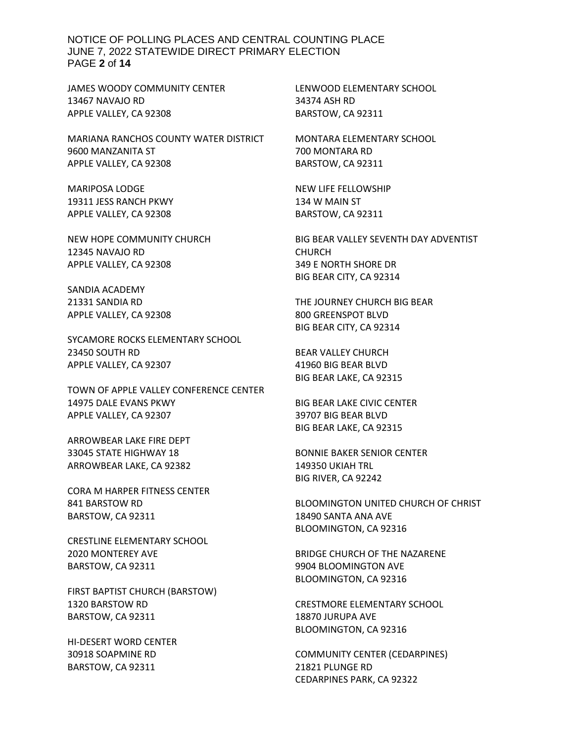NOTICE OF POLLING PLACES AND CENTRAL COUNTING PLACE JUNE 7, 2022 STATEWIDE DIRECT PRIMARY ELECTION PAGE **2** of **14**

JAMES WOODY COMMUNITY CENTER 13467 NAVAJO RD APPLE VALLEY, CA 92308

MARIANA RANCHOS COUNTY WATER DISTRICT 9600 MANZANITA ST APPLE VALLEY, CA 92308

MARIPOSA LODGE 19311 JESS RANCH PKWY APPLE VALLEY, CA 92308

NEW HOPE COMMUNITY CHURCH 12345 NAVAJO RD APPLE VALLEY, CA 92308

SANDIA ACADEMY 21331 SANDIA RD APPLE VALLEY, CA 92308

SYCAMORE ROCKS ELEMENTARY SCHOOL 23450 SOUTH RD APPLE VALLEY, CA 92307

TOWN OF APPLE VALLEY CONFERENCE CENTER 14975 DALE EVANS PKWY APPLE VALLEY, CA 92307

ARROWBEAR LAKE FIRE DEPT 33045 STATE HIGHWAY 18 ARROWBEAR LAKE, CA 92382

CORA M HARPER FITNESS CENTER 841 BARSTOW RD BARSTOW, CA 92311

CRESTLINE ELEMENTARY SCHOOL 2020 MONTEREY AVE BARSTOW, CA 92311

FIRST BAPTIST CHURCH (BARSTOW) 1320 BARSTOW RD BARSTOW, CA 92311

HI-DESERT WORD CENTER 30918 SOAPMINE RD BARSTOW, CA 92311

LENWOOD ELEMENTARY SCHOOL 34374 ASH RD BARSTOW, CA 92311

MONTARA ELEMENTARY SCHOOL 700 MONTARA RD BARSTOW, CA 92311

NEW LIFE FELLOWSHIP 134 W MAIN ST BARSTOW, CA 92311

BIG BEAR VALLEY SEVENTH DAY ADVENTIST CHURCH 349 E NORTH SHORE DR BIG BEAR CITY, CA 92314

THE JOURNEY CHURCH BIG BEAR 800 GREENSPOT BLVD BIG BEAR CITY, CA 92314

BEAR VALLEY CHURCH 41960 BIG BEAR BLVD BIG BEAR LAKE, CA 92315

BIG BEAR LAKE CIVIC CENTER 39707 BIG BEAR BLVD BIG BEAR LAKE, CA 92315

BONNIE BAKER SENIOR CENTER 149350 UKIAH TRL BIG RIVER, CA 92242

BLOOMINGTON UNITED CHURCH OF CHRIST 18490 SANTA ANA AVE BLOOMINGTON, CA 92316

BRIDGE CHURCH OF THE NAZARENE 9904 BLOOMINGTON AVE BLOOMINGTON, CA 92316

CRESTMORE ELEMENTARY SCHOOL 18870 JURUPA AVE BLOOMINGTON, CA 92316

COMMUNITY CENTER (CEDARPINES) 21821 PLUNGE RD CEDARPINES PARK, CA 92322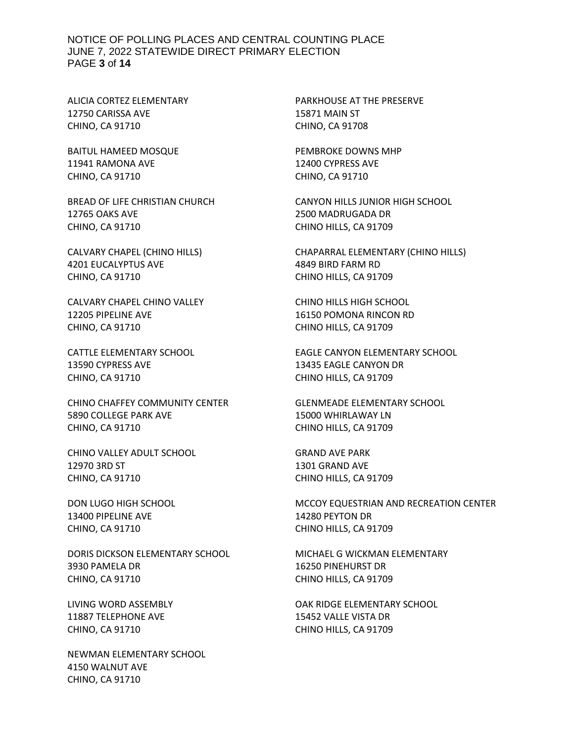#### NOTICE OF POLLING PLACES AND CENTRAL COUNTING PLACE JUNE 7, 2022 STATEWIDE DIRECT PRIMARY ELECTION PAGE **3** of **14**

ALICIA CORTEZ ELEMENTARY 12750 CARISSA AVE CHINO, CA 91710

BAITUL HAMEED MOSQUE 11941 RAMONA AVE CHINO, CA 91710

BREAD OF LIFE CHRISTIAN CHURCH 12765 OAKS AVE CHINO, CA 91710

CALVARY CHAPEL (CHINO HILLS) 4201 EUCALYPTUS AVE CHINO, CA 91710

CALVARY CHAPEL CHINO VALLEY 12205 PIPELINE AVE CHINO, CA 91710

CATTLE ELEMENTARY SCHOOL 13590 CYPRESS AVE CHINO, CA 91710

CHINO CHAFFEY COMMUNITY CENTER 5890 COLLEGE PARK AVE CHINO, CA 91710

CHINO VALLEY ADULT SCHOOL 12970 3RD ST CHINO, CA 91710

DON LUGO HIGH SCHOOL 13400 PIPELINE AVE CHINO, CA 91710

DORIS DICKSON ELEMENTARY SCHOOL 3930 PAMELA DR CHINO, CA 91710

LIVING WORD ASSEMBLY 11887 TELEPHONE AVE CHINO, CA 91710

NEWMAN ELEMENTARY SCHOOL 4150 WALNUT AVE CHINO, CA 91710

PARKHOUSE AT THE PRESERVE 15871 MAIN ST CHINO, CA 91708

PEMBROKE DOWNS MHP 12400 CYPRESS AVE CHINO, CA 91710

CANYON HILLS JUNIOR HIGH SCHOOL 2500 MADRUGADA DR CHINO HILLS, CA 91709

CHAPARRAL ELEMENTARY (CHINO HILLS) 4849 BIRD FARM RD CHINO HILLS, CA 91709

CHINO HILLS HIGH SCHOOL 16150 POMONA RINCON RD CHINO HILLS, CA 91709

EAGLE CANYON ELEMENTARY SCHOOL 13435 EAGLE CANYON DR CHINO HILLS, CA 91709

GLENMEADE ELEMENTARY SCHOOL 15000 WHIRLAWAY LN CHINO HILLS, CA 91709

GRAND AVE PARK 1301 GRAND AVE CHINO HILLS, CA 91709

MCCOY EQUESTRIAN AND RECREATION CENTER 14280 PEYTON DR CHINO HILLS, CA 91709

MICHAEL G WICKMAN ELEMENTARY 16250 PINEHURST DR CHINO HILLS, CA 91709

OAK RIDGE ELEMENTARY SCHOOL 15452 VALLE VISTA DR CHINO HILLS, CA 91709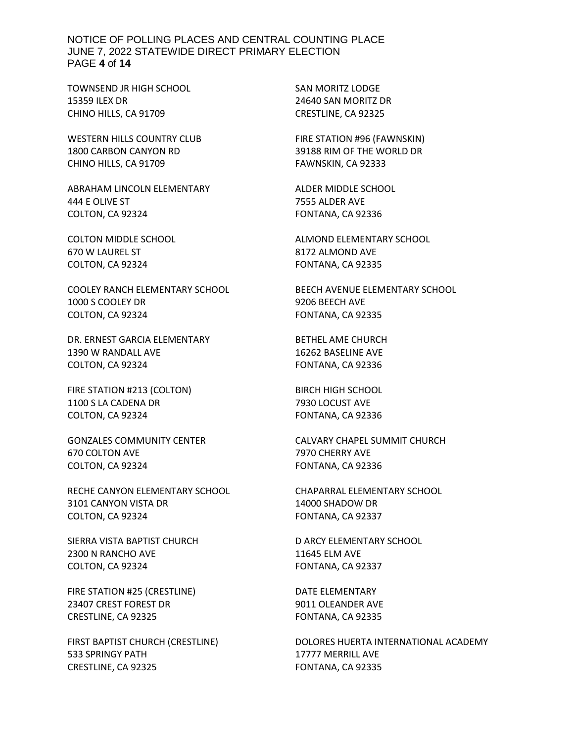NOTICE OF POLLING PLACES AND CENTRAL COUNTING PLACE JUNE 7, 2022 STATEWIDE DIRECT PRIMARY ELECTION PAGE **4** of **14**

TOWNSEND JR HIGH SCHOOL 15359 ILEX DR CHINO HILLS, CA 91709

WESTERN HILLS COUNTRY CLUB 1800 CARBON CANYON RD CHINO HILLS, CA 91709

ABRAHAM LINCOLN ELEMENTARY 444 E OLIVE ST COLTON, CA 92324

COLTON MIDDLE SCHOOL 670 W LAUREL ST COLTON, CA 92324

COOLEY RANCH ELEMENTARY SCHOOL 1000 S COOLEY DR COLTON, CA 92324

DR. ERNEST GARCIA ELEMENTARY 1390 W RANDALL AVE COLTON, CA 92324

FIRE STATION #213 (COLTON) 1100 S LA CADENA DR COLTON, CA 92324

GONZALES COMMUNITY CENTER 670 COLTON AVE COLTON, CA 92324

RECHE CANYON ELEMENTARY SCHOOL 3101 CANYON VISTA DR COLTON, CA 92324

SIERRA VISTA BAPTIST CHURCH 2300 N RANCHO AVE COLTON, CA 92324

FIRE STATION #25 (CRESTLINE) 23407 CREST FOREST DR CRESTLINE, CA 92325

FIRST BAPTIST CHURCH (CRESTLINE) 533 SPRINGY PATH CRESTLINE, CA 92325

SAN MORITZ LODGE 24640 SAN MORITZ DR CRESTLINE, CA 92325

FIRE STATION #96 (FAWNSKIN) 39188 RIM OF THE WORLD DR FAWNSKIN, CA 92333

ALDER MIDDLE SCHOOL 7555 ALDER AVE FONTANA, CA 92336

ALMOND ELEMENTARY SCHOOL 8172 ALMOND AVE FONTANA, CA 92335

BEECH AVENUE ELEMENTARY SCHOOL 9206 BEECH AVE FONTANA, CA 92335

BETHEL AME CHURCH 16262 BASELINE AVE FONTANA, CA 92336

BIRCH HIGH SCHOOL 7930 LOCUST AVE FONTANA, CA 92336

CALVARY CHAPEL SUMMIT CHURCH 7970 CHERRY AVE FONTANA, CA 92336

CHAPARRAL ELEMENTARY SCHOOL 14000 SHADOW DR FONTANA, CA 92337

D ARCY ELEMENTARY SCHOOL 11645 ELM AVE FONTANA, CA 92337

DATE ELEMENTARY 9011 OLEANDER AVE FONTANA, CA 92335

DOLORES HUERTA INTERNATIONAL ACADEMY 17777 MERRILL AVE FONTANA, CA 92335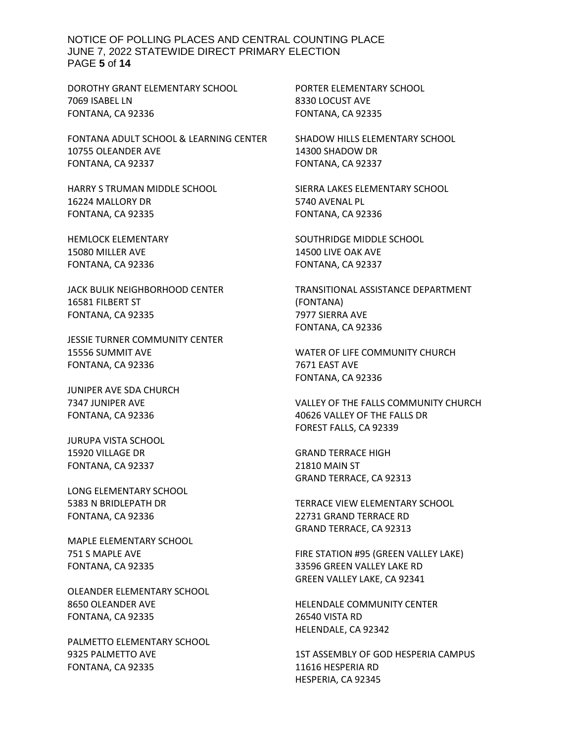NOTICE OF POLLING PLACES AND CENTRAL COUNTING PLACE JUNE 7, 2022 STATEWIDE DIRECT PRIMARY ELECTION PAGE **5** of **14**

DOROTHY GRANT ELEMENTARY SCHOOL 7069 ISABEL LN FONTANA, CA 92336

FONTANA ADULT SCHOOL & LEARNING CENTER 10755 OLEANDER AVE FONTANA, CA 92337

HARRY S TRUMAN MIDDLE SCHOOL 16224 MALLORY DR FONTANA, CA 92335

HEMLOCK ELEMENTARY 15080 MILLER AVE FONTANA, CA 92336

JACK BULIK NEIGHBORHOOD CENTER 16581 FILBERT ST FONTANA, CA 92335

JESSIE TURNER COMMUNITY CENTER 15556 SUMMIT AVE FONTANA, CA 92336

JUNIPER AVE SDA CHURCH 7347 JUNIPER AVE FONTANA, CA 92336

JURUPA VISTA SCHOOL 15920 VILLAGE DR FONTANA, CA 92337

LONG ELEMENTARY SCHOOL 5383 N BRIDLEPATH DR FONTANA, CA 92336

MAPLE ELEMENTARY SCHOOL 751 S MAPLE AVE FONTANA, CA 92335

OLEANDER ELEMENTARY SCHOOL 8650 OLEANDER AVE FONTANA, CA 92335

PALMETTO ELEMENTARY SCHOOL 9325 PALMETTO AVE FONTANA, CA 92335

PORTER ELEMENTARY SCHOOL 8330 LOCUST AVE FONTANA, CA 92335

SHADOW HILLS ELEMENTARY SCHOOL 14300 SHADOW DR FONTANA, CA 92337

SIERRA LAKES ELEMENTARY SCHOOL 5740 AVENAL PL FONTANA, CA 92336

SOUTHRIDGE MIDDLE SCHOOL 14500 LIVE OAK AVE FONTANA, CA 92337

TRANSITIONAL ASSISTANCE DEPARTMENT (FONTANA) 7977 SIERRA AVE FONTANA, CA 92336

WATER OF LIFE COMMUNITY CHURCH 7671 EAST AVE FONTANA, CA 92336

VALLEY OF THE FALLS COMMUNITY CHURCH 40626 VALLEY OF THE FALLS DR FOREST FALLS, CA 92339

GRAND TERRACE HIGH 21810 MAIN ST GRAND TERRACE, CA 92313

TERRACE VIEW ELEMENTARY SCHOOL 22731 GRAND TERRACE RD GRAND TERRACE, CA 92313

FIRE STATION #95 (GREEN VALLEY LAKE) 33596 GREEN VALLEY LAKE RD GREEN VALLEY LAKE, CA 92341

HELENDALE COMMUNITY CENTER 26540 VISTA RD HELENDALE, CA 92342

1ST ASSEMBLY OF GOD HESPERIA CAMPUS 11616 HESPERIA RD HESPERIA, CA 92345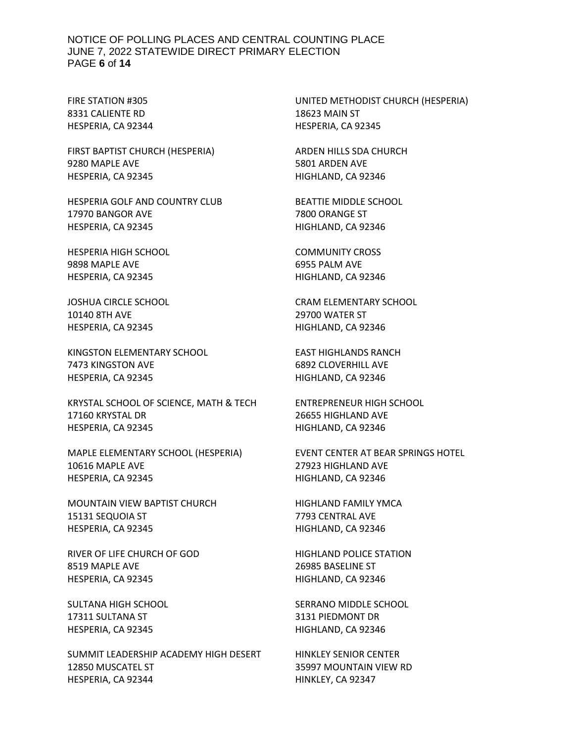#### NOTICE OF POLLING PLACES AND CENTRAL COUNTING PLACE JUNE 7, 2022 STATEWIDE DIRECT PRIMARY ELECTION PAGE **6** of **14**

FIRE STATION #305 8331 CALIENTE RD HESPERIA, CA 92344

FIRST BAPTIST CHURCH (HESPERIA) 9280 MAPLE AVE HESPERIA, CA 92345

HESPERIA GOLF AND COUNTRY CLUB 17970 BANGOR AVE HESPERIA, CA 92345

HESPERIA HIGH SCHOOL 9898 MAPLE AVE HESPERIA, CA 92345

JOSHUA CIRCLE SCHOOL 10140 8TH AVE HESPERIA, CA 92345

KINGSTON ELEMENTARY SCHOOL 7473 KINGSTON AVE HESPERIA, CA 92345

KRYSTAL SCHOOL OF SCIENCE, MATH & TECH 17160 KRYSTAL DR HESPERIA, CA 92345

MAPLE ELEMENTARY SCHOOL (HESPERIA) 10616 MAPLE AVE HESPERIA, CA 92345

MOUNTAIN VIEW BAPTIST CHURCH 15131 SEQUOIA ST HESPERIA, CA 92345

RIVER OF LIFE CHURCH OF GOD 8519 MAPLE AVE HESPERIA, CA 92345

SULTANA HIGH SCHOOL 17311 SULTANA ST HESPERIA, CA 92345

SUMMIT LEADERSHIP ACADEMY HIGH DESERT 12850 MUSCATEL ST HESPERIA, CA 92344

UNITED METHODIST CHURCH (HESPERIA) 18623 MAIN ST HESPERIA, CA 92345

ARDEN HILLS SDA CHURCH 5801 ARDEN AVE HIGHLAND, CA 92346

BEATTIE MIDDLE SCHOOL 7800 ORANGE ST HIGHLAND, CA 92346

COMMUNITY CROSS 6955 PALM AVE HIGHLAND, CA 92346

CRAM ELEMENTARY SCHOOL 29700 WATER ST HIGHLAND, CA 92346

EAST HIGHLANDS RANCH 6892 CLOVERHILL AVE HIGHLAND, CA 92346

ENTREPRENEUR HIGH SCHOOL 26655 HIGHLAND AVE HIGHLAND, CA 92346

EVENT CENTER AT BEAR SPRINGS HOTEL 27923 HIGHLAND AVE HIGHLAND, CA 92346

HIGHLAND FAMILY YMCA 7793 CENTRAL AVE HIGHLAND, CA 92346

HIGHLAND POLICE STATION 26985 BASELINE ST HIGHLAND, CA 92346

SERRANO MIDDLE SCHOOL 3131 PIEDMONT DR HIGHLAND, CA 92346

HINKLEY SENIOR CENTER 35997 MOUNTAIN VIEW RD HINKLEY, CA 92347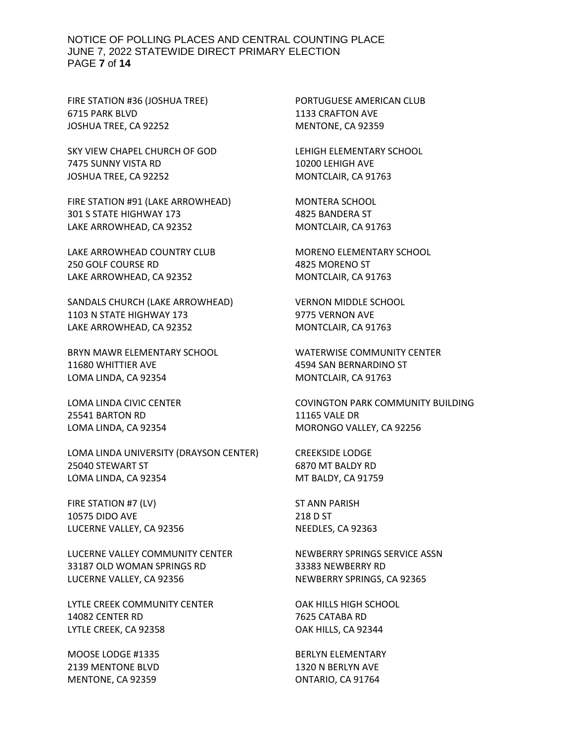#### NOTICE OF POLLING PLACES AND CENTRAL COUNTING PLACE JUNE 7, 2022 STATEWIDE DIRECT PRIMARY ELECTION PAGE **7** of **14**

FIRE STATION #36 (JOSHUA TREE) 6715 PARK BLVD JOSHUA TREE, CA 92252

SKY VIEW CHAPEL CHURCH OF GOD 7475 SUNNY VISTA RD JOSHUA TREE, CA 92252

FIRE STATION #91 (LAKE ARROWHEAD) 301 S STATE HIGHWAY 173 LAKE ARROWHEAD, CA 92352

LAKE ARROWHEAD COUNTRY CLUB 250 GOLF COURSE RD LAKE ARROWHEAD, CA 92352

SANDALS CHURCH (LAKE ARROWHEAD) 1103 N STATE HIGHWAY 173 LAKE ARROWHEAD, CA 92352

BRYN MAWR ELEMENTARY SCHOOL 11680 WHITTIER AVE LOMA LINDA, CA 92354

LOMA LINDA CIVIC CENTER 25541 BARTON RD LOMA LINDA, CA 92354

LOMA LINDA UNIVERSITY (DRAYSON CENTER) 25040 STEWART ST LOMA LINDA, CA 92354

FIRE STATION #7 (LV) 10575 DIDO AVE LUCERNE VALLEY, CA 92356

LUCERNE VALLEY COMMUNITY CENTER 33187 OLD WOMAN SPRINGS RD LUCERNE VALLEY, CA 92356

LYTLE CREEK COMMUNITY CENTER 14082 CENTER RD LYTLE CREEK, CA 92358

MOOSE LODGE #1335 2139 MENTONE BLVD MENTONE, CA 92359

PORTUGUESE AMERICAN CLUB 1133 CRAFTON AVE MENTONE, CA 92359

LEHIGH ELEMENTARY SCHOOL 10200 LEHIGH AVE MONTCLAIR, CA 91763

MONTERA SCHOOL 4825 BANDERA ST MONTCLAIR, CA 91763

MORENO ELEMENTARY SCHOOL 4825 MORENO ST MONTCLAIR, CA 91763

VERNON MIDDLE SCHOOL 9775 VERNON AVE MONTCLAIR, CA 91763

WATERWISE COMMUNITY CENTER 4594 SAN BERNARDINO ST MONTCLAIR, CA 91763

COVINGTON PARK COMMUNITY BUILDING 11165 VALE DR MORONGO VALLEY, CA 92256

CREEKSIDE LODGE 6870 MT BALDY RD MT BALDY, CA 91759

ST ANN PARISH 218 D ST NEEDLES, CA 92363

NEWBERRY SPRINGS SERVICE ASSN 33383 NEWBERRY RD NEWBERRY SPRINGS, CA 92365

OAK HILLS HIGH SCHOOL 7625 CATABA RD OAK HILLS, CA 92344

BERLYN ELEMENTARY 1320 N BERLYN AVE ONTARIO, CA 91764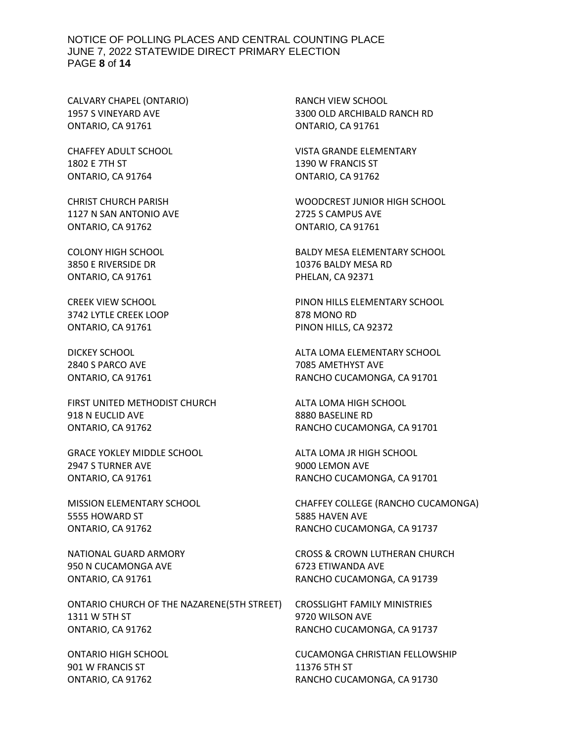#### NOTICE OF POLLING PLACES AND CENTRAL COUNTING PLACE JUNE 7, 2022 STATEWIDE DIRECT PRIMARY ELECTION PAGE **8** of **14**

CALVARY CHAPEL (ONTARIO) 1957 S VINEYARD AVE ONTARIO, CA 91761

CHAFFEY ADULT SCHOOL 1802 E 7TH ST ONTARIO, CA 91764

CHRIST CHURCH PARISH 1127 N SAN ANTONIO AVE ONTARIO, CA 91762

COLONY HIGH SCHOOL 3850 E RIVERSIDE DR ONTARIO, CA 91761

CREEK VIEW SCHOOL 3742 LYTLE CREEK LOOP ONTARIO, CA 91761

DICKEY SCHOOL 2840 S PARCO AVE ONTARIO, CA 91761

FIRST UNITED METHODIST CHURCH 918 N EUCLID AVE ONTARIO, CA 91762

GRACE YOKLEY MIDDLE SCHOOL 2947 S TURNER AVE ONTARIO, CA 91761

MISSION ELEMENTARY SCHOOL 5555 HOWARD ST ONTARIO, CA 91762

NATIONAL GUARD ARMORY 950 N CUCAMONGA AVE ONTARIO, CA 91761

ONTARIO CHURCH OF THE NAZARENE(5TH STREET) 1311 W 5TH ST ONTARIO, CA 91762

ONTARIO HIGH SCHOOL 901 W FRANCIS ST ONTARIO, CA 91762

RANCH VIEW SCHOOL 3300 OLD ARCHIBALD RANCH RD ONTARIO, CA 91761

VISTA GRANDE ELEMENTARY 1390 W FRANCIS ST ONTARIO, CA 91762

WOODCREST JUNIOR HIGH SCHOOL 2725 S CAMPUS AVE ONTARIO, CA 91761

BALDY MESA ELEMENTARY SCHOOL 10376 BALDY MESA RD PHELAN, CA 92371

PINON HILLS ELEMENTARY SCHOOL 878 MONO RD PINON HILLS, CA 92372

ALTA LOMA ELEMENTARY SCHOOL 7085 AMETHYST AVE RANCHO CUCAMONGA, CA 91701

ALTA LOMA HIGH SCHOOL 8880 BASELINE RD RANCHO CUCAMONGA, CA 91701

ALTA LOMA JR HIGH SCHOOL 9000 LEMON AVE RANCHO CUCAMONGA, CA 91701

CHAFFEY COLLEGE (RANCHO CUCAMONGA) 5885 HAVEN AVE RANCHO CUCAMONGA, CA 91737

CROSS & CROWN LUTHERAN CHURCH 6723 ETIWANDA AVE RANCHO CUCAMONGA, CA 91739

CROSSLIGHT FAMILY MINISTRIES 9720 WILSON AVE RANCHO CUCAMONGA, CA 91737

CUCAMONGA CHRISTIAN FELLOWSHIP 11376 5TH ST RANCHO CUCAMONGA, CA 91730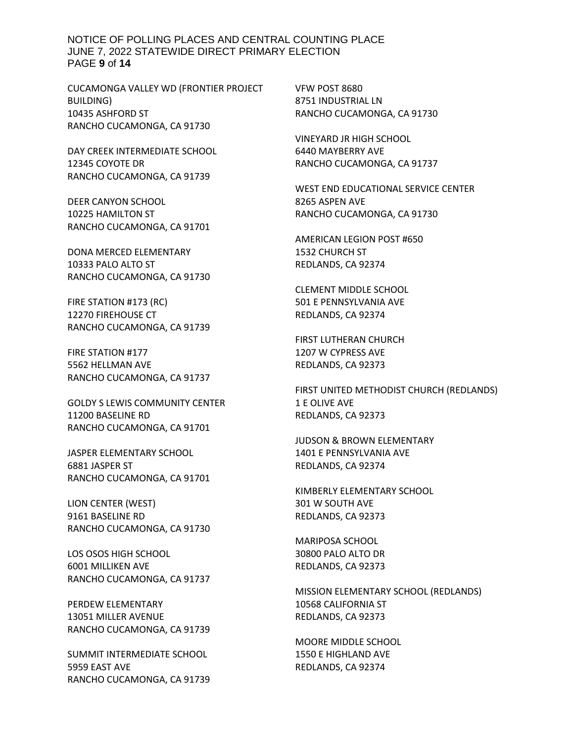NOTICE OF POLLING PLACES AND CENTRAL COUNTING PLACE JUNE 7, 2022 STATEWIDE DIRECT PRIMARY ELECTION PAGE **9** of **14**

CUCAMONGA VALLEY WD (FRONTIER PROJECT BUILDING) 10435 ASHFORD ST RANCHO CUCAMONGA, CA 91730

DAY CREEK INTERMEDIATE SCHOOL 12345 COYOTE DR RANCHO CUCAMONGA, CA 91739

DEER CANYON SCHOOL 10225 HAMILTON ST RANCHO CUCAMONGA, CA 91701

DONA MERCED ELEMENTARY 10333 PALO ALTO ST RANCHO CUCAMONGA, CA 91730

FIRE STATION #173 (RC) 12270 FIREHOUSE CT RANCHO CUCAMONGA, CA 91739

FIRE STATION #177 5562 HELLMAN AVE RANCHO CUCAMONGA, CA 91737

GOLDY S LEWIS COMMUNITY CENTER 11200 BASELINE RD RANCHO CUCAMONGA, CA 91701

JASPER ELEMENTARY SCHOOL 6881 JASPER ST RANCHO CUCAMONGA, CA 91701

LION CENTER (WEST) 9161 BASELINE RD RANCHO CUCAMONGA, CA 91730

LOS OSOS HIGH SCHOOL 6001 MILLIKEN AVE RANCHO CUCAMONGA, CA 91737

PERDEW ELEMENTARY 13051 MILLER AVENUE RANCHO CUCAMONGA, CA 91739

SUMMIT INTERMEDIATE SCHOOL 5959 EAST AVE RANCHO CUCAMONGA, CA 91739 VFW POST 8680 8751 INDUSTRIAL LN RANCHO CUCAMONGA, CA 91730

VINEYARD JR HIGH SCHOOL 6440 MAYBERRY AVE RANCHO CUCAMONGA, CA 91737

WEST END EDUCATIONAL SERVICE CENTER 8265 ASPEN AVE RANCHO CUCAMONGA, CA 91730

AMERICAN LEGION POST #650 1532 CHURCH ST REDLANDS, CA 92374

CLEMENT MIDDLE SCHOOL 501 E PENNSYLVANIA AVE REDLANDS, CA 92374

FIRST LUTHERAN CHURCH 1207 W CYPRESS AVE REDLANDS, CA 92373

FIRST UNITED METHODIST CHURCH (REDLANDS) 1 E OLIVE AVE REDLANDS, CA 92373

JUDSON & BROWN ELEMENTARY 1401 E PENNSYLVANIA AVE REDLANDS, CA 92374

KIMBERLY ELEMENTARY SCHOOL 301 W SOUTH AVE REDLANDS, CA 92373

MARIPOSA SCHOOL 30800 PALO ALTO DR REDLANDS, CA 92373

MISSION ELEMENTARY SCHOOL (REDLANDS) 10568 CALIFORNIA ST REDLANDS, CA 92373

MOORE MIDDLE SCHOOL 1550 E HIGHLAND AVE REDLANDS, CA 92374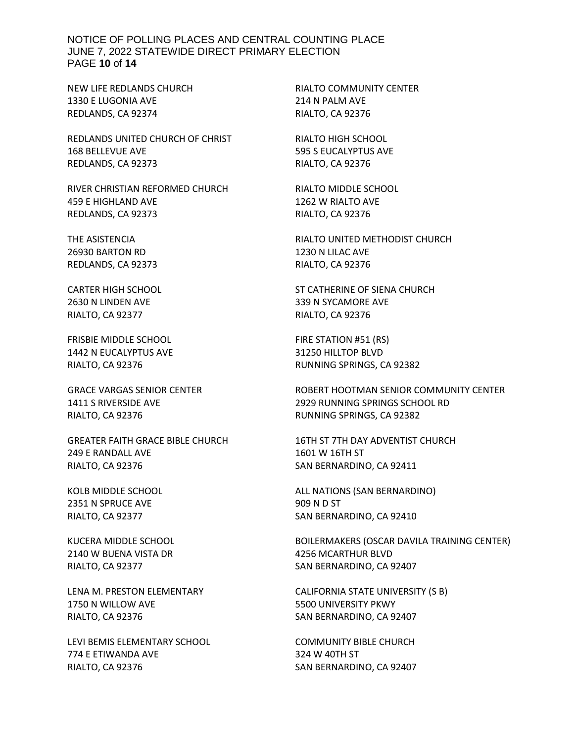#### NOTICE OF POLLING PLACES AND CENTRAL COUNTING PLACE JUNE 7, 2022 STATEWIDE DIRECT PRIMARY ELECTION PAGE **10** of **14**

NEW LIFE REDLANDS CHURCH 1330 E LUGONIA AVE REDLANDS, CA 92374

REDLANDS UNITED CHURCH OF CHRIST 168 BELLEVUE AVE REDLANDS, CA 92373

RIVER CHRISTIAN REFORMED CHURCH 459 E HIGHLAND AVE REDLANDS, CA 92373

THE ASISTENCIA 26930 BARTON RD REDLANDS, CA 92373

CARTER HIGH SCHOOL 2630 N LINDEN AVE RIALTO, CA 92377

FRISBIE MIDDLE SCHOOL 1442 N EUCALYPTUS AVE RIALTO, CA 92376

GRACE VARGAS SENIOR CENTER 1411 S RIVERSIDE AVE RIALTO, CA 92376

GREATER FAITH GRACE BIBLE CHURCH 249 E RANDALL AVE RIALTO, CA 92376

KOLB MIDDLE SCHOOL 2351 N SPRUCE AVE RIALTO, CA 92377

KUCERA MIDDLE SCHOOL 2140 W BUENA VISTA DR RIALTO, CA 92377

LENA M. PRESTON ELEMENTARY 1750 N WILLOW AVE RIALTO, CA 92376

LEVI BEMIS ELEMENTARY SCHOOL 774 E ETIWANDA AVE RIALTO, CA 92376

RIALTO COMMUNITY CENTER 214 N PALM AVE RIALTO, CA 92376

RIALTO HIGH SCHOOL 595 S EUCALYPTUS AVE RIALTO, CA 92376

RIALTO MIDDLE SCHOOL 1262 W RIALTO AVE RIALTO, CA 92376

RIALTO UNITED METHODIST CHURCH 1230 N LILAC AVE RIALTO, CA 92376

ST CATHERINE OF SIENA CHURCH 339 N SYCAMORE AVE RIALTO, CA 92376

FIRE STATION #51 (RS) 31250 HILLTOP BLVD RUNNING SPRINGS, CA 92382

ROBERT HOOTMAN SENIOR COMMUNITY CENTER 2929 RUNNING SPRINGS SCHOOL RD RUNNING SPRINGS, CA 92382

16TH ST 7TH DAY ADVENTIST CHURCH 1601 W 16TH ST SAN BERNARDINO, CA 92411

ALL NATIONS (SAN BERNARDINO) 909 N D ST SAN BERNARDINO, CA 92410

BOILERMAKERS (OSCAR DAVILA TRAINING CENTER) 4256 MCARTHUR BLVD SAN BERNARDINO, CA 92407

CALIFORNIA STATE UNIVERSITY (S B) 5500 UNIVERSITY PKWY SAN BERNARDINO, CA 92407

COMMUNITY BIBLE CHURCH 324 W 40TH ST SAN BERNARDINO, CA 92407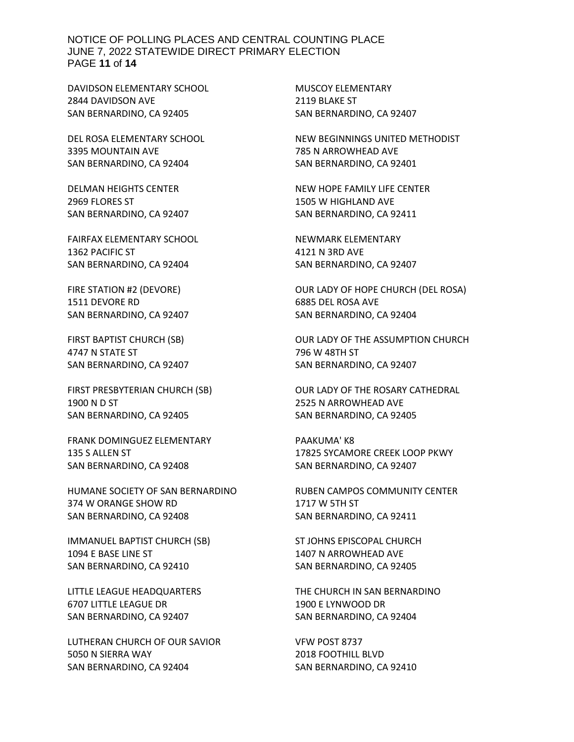NOTICE OF POLLING PLACES AND CENTRAL COUNTING PLACE JUNE 7, 2022 STATEWIDE DIRECT PRIMARY ELECTION PAGE **11** of **14**

DAVIDSON ELEMENTARY SCHOOL 2844 DAVIDSON AVE SAN BERNARDINO, CA 92405

DEL ROSA ELEMENTARY SCHOOL 3395 MOUNTAIN AVE SAN BERNARDINO, CA 92404

DELMAN HEIGHTS CENTER 2969 FLORES ST SAN BERNARDINO, CA 92407

FAIRFAX ELEMENTARY SCHOOL 1362 PACIFIC ST SAN BERNARDINO, CA 92404

FIRE STATION #2 (DEVORE) 1511 DEVORE RD SAN BERNARDINO, CA 92407

FIRST BAPTIST CHURCH (SB) 4747 N STATE ST SAN BERNARDINO, CA 92407

FIRST PRESBYTERIAN CHURCH (SB) 1900 N D ST SAN BERNARDINO, CA 92405

FRANK DOMINGUEZ ELEMENTARY 135 S ALLEN ST SAN BERNARDINO, CA 92408

HUMANE SOCIETY OF SAN BERNARDINO 374 W ORANGE SHOW RD SAN BERNARDINO, CA 92408

IMMANUEL BAPTIST CHURCH (SB) 1094 E BASE LINE ST SAN BERNARDINO, CA 92410

LITTLE LEAGUE HEADQUARTERS 6707 LITTLE LEAGUE DR SAN BERNARDINO, CA 92407

LUTHERAN CHURCH OF OUR SAVIOR 5050 N SIERRA WAY SAN BERNARDINO, CA 92404

MUSCOY ELEMENTARY 2119 BLAKE ST SAN BERNARDINO, CA 92407

NEW BEGINNINGS UNITED METHODIST 785 N ARROWHEAD AVE SAN BERNARDINO, CA 92401

NEW HOPE FAMILY LIFE CENTER 1505 W HIGHLAND AVE SAN BERNARDINO, CA 92411

NEWMARK ELEMENTARY 4121 N 3RD AVE SAN BERNARDINO, CA 92407

OUR LADY OF HOPE CHURCH (DEL ROSA) 6885 DEL ROSA AVE SAN BERNARDINO, CA 92404

OUR LADY OF THE ASSUMPTION CHURCH 796 W 48TH ST SAN BERNARDINO, CA 92407

OUR LADY OF THE ROSARY CATHEDRAL 2525 N ARROWHEAD AVE SAN BERNARDINO, CA 92405

PAAKUMA' K8 17825 SYCAMORE CREEK LOOP PKWY SAN BERNARDINO, CA 92407

RUBEN CAMPOS COMMUNITY CENTER 1717 W 5TH ST SAN BERNARDINO, CA 92411

ST JOHNS EPISCOPAL CHURCH 1407 N ARROWHEAD AVE SAN BERNARDINO, CA 92405

THE CHURCH IN SAN BERNARDINO 1900 E LYNWOOD DR SAN BERNARDINO, CA 92404

VFW POST 8737 2018 FOOTHILL BLVD SAN BERNARDINO, CA 92410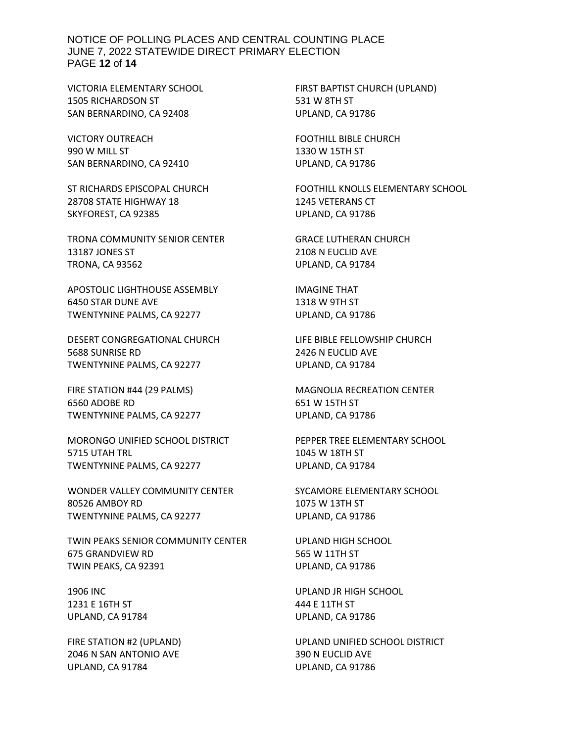NOTICE OF POLLING PLACES AND CENTRAL COUNTING PLACE JUNE 7, 2022 STATEWIDE DIRECT PRIMARY ELECTION PAGE **12** of **14**

VICTORIA ELEMENTARY SCHOOL 1505 RICHARDSON ST SAN BERNARDINO, CA 92408

VICTORY OUTREACH 990 W MILL ST SAN BERNARDINO, CA 92410

ST RICHARDS EPISCOPAL CHURCH 28708 STATE HIGHWAY 18 SKYFOREST, CA 92385

TRONA COMMUNITY SENIOR CENTER 13187 JONES ST TRONA, CA 93562

APOSTOLIC LIGHTHOUSE ASSEMBLY 6450 STAR DUNE AVE TWENTYNINE PALMS, CA 92277

DESERT CONGREGATIONAL CHURCH 5688 SUNRISE RD TWENTYNINE PALMS, CA 92277

FIRE STATION #44 (29 PALMS) 6560 ADOBE RD TWENTYNINE PALMS, CA 92277

MORONGO UNIFIED SCHOOL DISTRICT 5715 UTAH TRL TWENTYNINE PALMS, CA 92277

WONDER VALLEY COMMUNITY CENTER 80526 AMBOY RD TWENTYNINE PALMS, CA 92277

TWIN PEAKS SENIOR COMMUNITY CENTER 675 GRANDVIEW RD TWIN PEAKS, CA 92391

1906 INC 1231 E 16TH ST UPLAND, CA 91784

FIRE STATION #2 (UPLAND) 2046 N SAN ANTONIO AVE UPLAND, CA 91784

FIRST BAPTIST CHURCH (UPLAND) 531 W 8TH ST UPLAND, CA 91786

FOOTHILL BIBLE CHURCH 1330 W 15TH ST UPLAND, CA 91786

FOOTHILL KNOLLS ELEMENTARY SCHOOL 1245 VETERANS CT UPLAND, CA 91786

GRACE LUTHERAN CHURCH 2108 N EUCLID AVE UPLAND, CA 91784

IMAGINE THAT 1318 W 9TH ST UPLAND, CA 91786

LIFE BIBLE FELLOWSHIP CHURCH 2426 N EUCLID AVE UPLAND, CA 91784

MAGNOLIA RECREATION CENTER 651 W 15TH ST UPLAND, CA 91786

PEPPER TREE ELEMENTARY SCHOOL 1045 W 18TH ST UPLAND, CA 91784

SYCAMORE ELEMENTARY SCHOOL 1075 W 13TH ST UPLAND, CA 91786

UPLAND HIGH SCHOOL 565 W 11TH ST UPLAND, CA 91786

UPLAND JR HIGH SCHOOL 444 E 11TH ST UPLAND, CA 91786

UPLAND UNIFIED SCHOOL DISTRICT 390 N EUCLID AVE UPLAND, CA 91786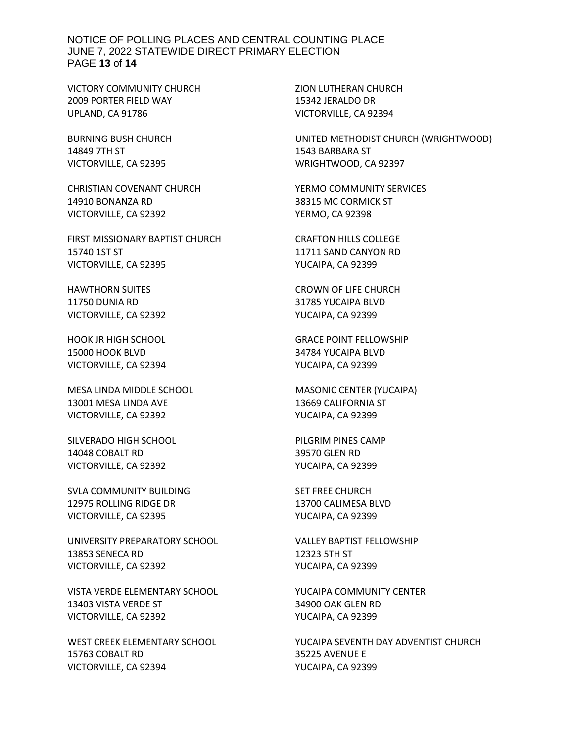#### NOTICE OF POLLING PLACES AND CENTRAL COUNTING PLACE JUNE 7, 2022 STATEWIDE DIRECT PRIMARY ELECTION PAGE **13** of **14**

VICTORY COMMUNITY CHURCH 2009 PORTER FIELD WAY UPLAND, CA 91786

BURNING BUSH CHURCH 14849 7TH ST VICTORVILLE, CA 92395

CHRISTIAN COVENANT CHURCH 14910 BONANZA RD VICTORVILLE, CA 92392

FIRST MISSIONARY BAPTIST CHURCH 15740 1ST ST VICTORVILLE, CA 92395

HAWTHORN SUITES 11750 DUNIA RD VICTORVILLE, CA 92392

HOOK JR HIGH SCHOOL 15000 HOOK BLVD VICTORVILLE, CA 92394

MESA LINDA MIDDLE SCHOOL 13001 MESA LINDA AVE VICTORVILLE, CA 92392

SILVERADO HIGH SCHOOL 14048 COBALT RD VICTORVILLE, CA 92392

SVLA COMMUNITY BUILDING 12975 ROLLING RIDGE DR VICTORVILLE, CA 92395

UNIVERSITY PREPARATORY SCHOOL 13853 SENECA RD VICTORVILLE, CA 92392

VISTA VERDE ELEMENTARY SCHOOL 13403 VISTA VERDE ST VICTORVILLE, CA 92392

WEST CREEK ELEMENTARY SCHOOL 15763 COBALT RD VICTORVILLE, CA 92394

ZION LUTHERAN CHURCH 15342 JERALDO DR VICTORVILLE, CA 92394

UNITED METHODIST CHURCH (WRIGHTWOOD) 1543 BARBARA ST WRIGHTWOOD, CA 92397

YERMO COMMUNITY SERVICES 38315 MC CORMICK ST YERMO, CA 92398

CRAFTON HILLS COLLEGE 11711 SAND CANYON RD YUCAIPA, CA 92399

CROWN OF LIFE CHURCH 31785 YUCAIPA BLVD YUCAIPA, CA 92399

GRACE POINT FELLOWSHIP 34784 YUCAIPA BLVD YUCAIPA, CA 92399

MASONIC CENTER (YUCAIPA) 13669 CALIFORNIA ST YUCAIPA, CA 92399

PILGRIM PINES CAMP 39570 GLEN RD YUCAIPA, CA 92399

SET FREE CHURCH 13700 CALIMESA BLVD YUCAIPA, CA 92399

VALLEY BAPTIST FELLOWSHIP 12323 5TH ST YUCAIPA, CA 92399

YUCAIPA COMMUNITY CENTER 34900 OAK GLEN RD YUCAIPA, CA 92399

YUCAIPA SEVENTH DAY ADVENTIST CHURCH 35225 AVENUE E YUCAIPA, CA 92399